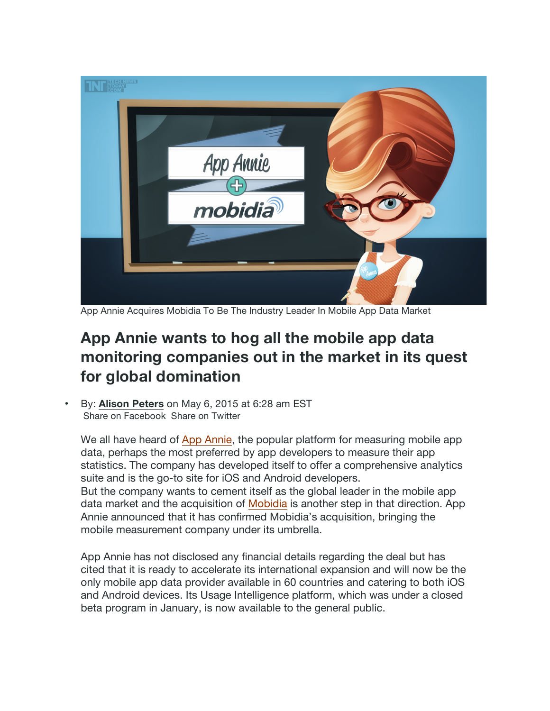

App Annie Acquires Mobidia To Be The Industry Leader In Mobile App Data Market

## **App Annie wants to hog all the mobile app data monitoring companies out in the market in its quest for global domination**

• By: **Alison Peters** on May 6, 2015 at 6:28 am EST Share on Facebook Share on Twitter

We all have heard of App Annie, the popular platform for measuring mobile app data, perhaps the most preferred by app developers to measure their app statistics. The company has developed itself to offer a comprehensive analytics suite and is the go-to site for iOS and Android developers. But the company wants to cement itself as the global leader in the mobile app data market and the acquisition of Mobidia is another step in that direction. App Annie announced that it has confirmed Mobidia's acquisition, bringing the mobile measurement company under its umbrella.

App Annie has not disclosed any financial details regarding the deal but has cited that it is ready to accelerate its international expansion and will now be the only mobile app data provider available in 60 countries and catering to both iOS and Android devices. Its Usage Intelligence platform, which was under a closed beta program in January, is now available to the general public.